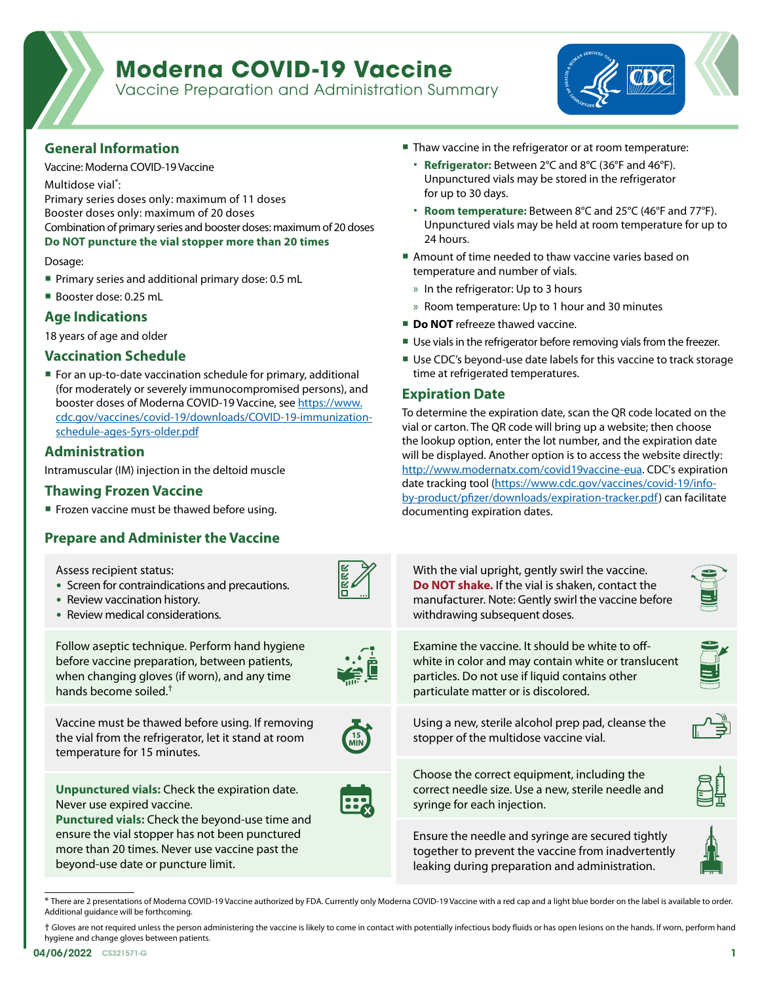# **Moderna COVID-19 Vaccine**

Vaccine Preparation and Administration Summary



## **General Information**

Vaccine: Moderna COVID-19 Vaccine

Multidose vial\* :

Primary series doses only: maximum of 11 doses

Booster doses only: maximum of 20 doses

Combination of primary series and booster doses: maximum of 20 doses

**Do NOT puncture the vial stopper more than 20 times**

Dosage:

- Primary series and additional primary dose: 0.5 mL
- Booster dose: 0.25 mL

# **Age Indications**

18 years of age and older

## **Vaccination Schedule**

■ For an up-to-date vaccination schedule for primary, additional (for moderately or severely immunocompromised persons), and booster doses of Moderna COVID-19 Vaccine, see [https://www.](https://www.cdc.gov/vaccines/covid-19/downloads/COVID-19-immunization-schedule-ages-5yrs-older.pdf) [cdc.gov/vaccines/covid-19/downloads/COVID-19-immunization](https://www.cdc.gov/vaccines/covid-19/downloads/COVID-19-immunization-schedule-ages-5yrs-older.pdf)[schedule-ages-5yrs-older.pdf](https://www.cdc.gov/vaccines/covid-19/downloads/COVID-19-immunization-schedule-ages-5yrs-older.pdf)

## **Administration**

Intramuscular (IM) injection in the deltoid muscle

#### **Thawing Frozen Vaccine**

■ Frozen vaccine must be thawed before using.

# **Prepare and Administer the Vaccine**

- Thaw vaccine in the refrigerator or at room temperature:
	- **Refrigerator:** Between 2°C and 8°C (36°F and 46°F). Unpunctured vials may be stored in the refrigerator for up to 30 days.
	- **Room temperature:** Between 8°C and 25°C (46°F and 77°F). Unpunctured vials may be held at room temperature for up to 24 hours.
- Amount of time needed to thaw vaccine varies based on temperature and number of vials.
	- » In the refrigerator: Up to 3 hours
	- » Room temperature: Up to 1 hour and 30 minutes
- **Do NOT** refreeze thawed vaccine.
- Use vials in the refrigerator before removing vials from the freezer.
- Use CDC's beyond-use date labels for this vaccine to track storage time at refrigerated temperatures.

## **Expiration Date**

To determine the expiration date, scan the QR code located on the vial or carton. The QR code will bring up a website; then choose the lookup option, enter the lot number, and the expiration date will be displayed. Another option is to access the website directly: [http://www.modernatx.com/covid19vaccine-eua.](https://www.modernatx.com/covid19vaccine-eua/) CDC's expiration date tracking tool ([https://www.cdc.gov/vaccines/covid-19/info](https://www.cdc.gov/vaccines/covid-19/info-by-product/pfizer/downloads/expiration-tracker.pdf)[by-product/pfizer/downloads/expiration-tracker.pdf\)](https://www.cdc.gov/vaccines/covid-19/info-by-product/pfizer/downloads/expiration-tracker.pdf) can facilitate documenting expiration dates.

| Assess recipient status:<br>• Screen for contraindications and precautions.<br>• Review vaccination history.<br>• Review medical considerations.                                                                                                                               |                     | With the vial upright, gently swirl the vaccine.<br>Do NOT shake. If the vial is shaken, contact the<br>manufacturer. Note: Gently swirl the vaccine before<br>withdrawing subsequent doses.     | <b>ONTEDIOR</b> |
|--------------------------------------------------------------------------------------------------------------------------------------------------------------------------------------------------------------------------------------------------------------------------------|---------------------|--------------------------------------------------------------------------------------------------------------------------------------------------------------------------------------------------|-----------------|
| Follow aseptic technique. Perform hand hygiene<br>before vaccine preparation, between patients,<br>when changing gloves (if worn), and any time<br>hands become soiled. <sup>†</sup>                                                                                           | $\ddot{\mathbf{e}}$ | Examine the vaccine. It should be white to off-<br>white in color and may contain white or translucent<br>particles. Do not use if liquid contains other<br>particulate matter or is discolored. |                 |
| Vaccine must be thawed before using. If removing<br>the vial from the refrigerator, let it stand at room<br>temperature for 15 minutes.                                                                                                                                        | $\frac{15}{100}$    | Using a new, sterile alcohol prep pad, cleanse the<br>stopper of the multidose vaccine vial.                                                                                                     | ノーゴ             |
| <b>Unpunctured vials:</b> Check the expiration date.<br>Never use expired vaccine.<br>Punctured vials: Check the beyond-use time and<br>ensure the vial stopper has not been punctured<br>more than 20 times. Never use vaccine past the<br>beyond-use date or puncture limit. | 田                   | Choose the correct equipment, including the<br>correct needle size. Use a new, sterile needle and<br>syringe for each injection.                                                                 |                 |
|                                                                                                                                                                                                                                                                                |                     | Ensure the needle and syringe are secured tightly<br>together to prevent the vaccine from inadvertently<br>leaking during preparation and administration.                                        |                 |
|                                                                                                                                                                                                                                                                                |                     |                                                                                                                                                                                                  |                 |

<sup>\*</sup> There are 2 presentations of Moderna COVID-19 Vaccine authorized by FDA. Currently only Moderna COVID-19 Vaccine with a red cap and a light blue border on the label is available to order. Additional guidance will be forthcoming.

† Gloves are not required unless the person administering the vaccine is likely to come in contact with potentially infectious body fluids or has open lesions on the hands. If worn, perform hand hygiene and change gloves between patients.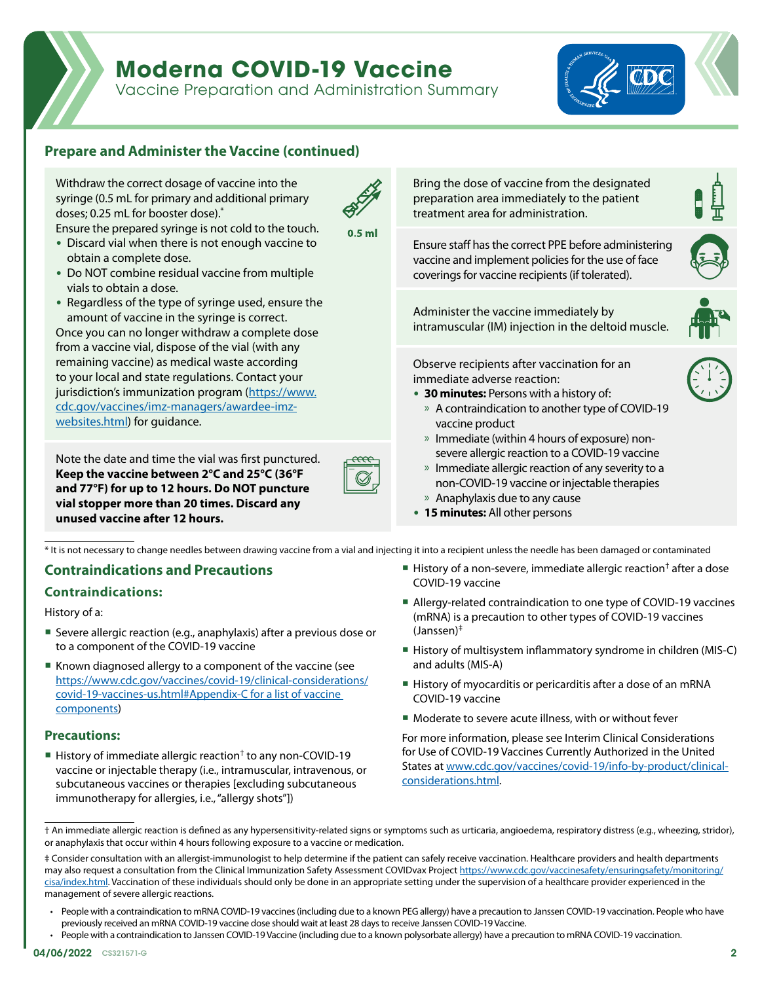# **Moderna COVID-19 Vaccine**

Vaccine Preparation and Administration Summary



# **Prepare and Administer the Vaccine (continued)**

Withdraw the correct dosage of vaccine into the syringe (0.5 mL for primary and additional primary doses; 0.25 mL for booster dose).\* Ensure the prepared syringe is not cold to the touch.



 $0.5$  m

- Discard vial when there is not enough vaccine to obtain a complete dose.
- Do NOT combine residual vaccine from multiple vials to obtain a dose.
- Regardless of the type of syringe used, ensure the amount of vaccine in the syringe is correct.

Once you can no longer withdraw a complete dose from a vaccine vial, dispose of the vial (with any remaining vaccine) as medical waste according to your local and state regulations. Contact your jurisdiction's immunization program [\(https://www.](https://www.cdc.gov/vaccines/imz-managers/awardee-imz-websites.html) [cdc.gov/vaccines/imz-managers/awardee-imz](https://www.cdc.gov/vaccines/imz-managers/awardee-imz-websites.html)[websites.html\)](https://www.cdc.gov/vaccines/imz-managers/awardee-imz-websites.html) for guidance.

Note the date and time the vial was first punctured. **Keep the vaccine between 2°C and 25°C (36°F and 77°F) for up to 12 hours. Do NOT puncture vial stopper more than 20 times. Discard any unused vaccine after 12 hours.**

Bring the dose of vaccine from the designated preparation area immediately to the patient treatment area for administration.

Ensure staff has the correct PPE before administering vaccine and implement policies for the use of face coverings for vaccine recipients (if tolerated).

Administer the vaccine immediately by intramuscular (IM) injection in the deltoid muscle.

Observe recipients after vaccination for an immediate adverse reaction:

- **30 minutes:** Persons with a history of:
	- » A contraindication to another type of COVID-19 vaccine product
	- » Immediate (within 4 hours of exposure) nonsevere allergic reaction to a COVID-19 vaccine
	- » Immediate allergic reaction of any severity to a non-COVID-19 vaccine or injectable therapies
	- » Anaphylaxis due to any cause
- **15 minutes:** All other persons

\* It is not necessary to change needles between drawing vaccine from a vial and injecting it into a recipient unless the needle has been damaged or contaminated

## **Contraindications and Precautions**

#### **Contraindications:**

History of a:

- Severe allergic reaction (e.g., anaphylaxis) after a previous dose or to a component of the COVID-19 vaccine
- **Known diagnosed allergy to a component of the vaccine (see** [https://www.cdc.gov/vaccines/covid-19/clinical-considerations/](https://www.cdc.gov/vaccines/covid-19/clinical-considerations/covid-19-vaccines-us.html#Appendix-C for a list of vaccine components) [covid-19-vaccines-us.html#Appendix-C for a list of vaccine](https://www.cdc.gov/vaccines/covid-19/clinical-considerations/covid-19-vaccines-us.html#Appendix-C for a list of vaccine components)  [components](https://www.cdc.gov/vaccines/covid-19/clinical-considerations/covid-19-vaccines-us.html#Appendix-C for a list of vaccine components))

#### **Precautions:**

History of immediate allergic reaction<sup>†</sup> to any non-COVID-19 vaccine or injectable therapy (i.e., intramuscular, intravenous, or subcutaneous vaccines or therapies [excluding subcutaneous immunotherapy for allergies, i.e., "allergy shots"])

- History of a non-severe, immediate allergic reaction<sup>†</sup> after a dose COVID-19 vaccine
- Allergy-related contraindication to one type of COVID-19 vaccines (mRNA) is a precaution to other types of COVID-19 vaccines (Janssen)‡
- History of multisystem inflammatory syndrome in children (MIS-C) and adults (MIS-A)
- History of myocarditis or pericarditis after a dose of an mRNA COVID-19 vaccine
- Moderate to severe acute illness, with or without fever

For more information, please see Interim Clinical Considerations for Use of COVID-19 Vaccines Currently Authorized in the United States at [www.cdc.gov/vaccines/covid-19/info-by-product/clinical](https://www.cdc.gov/vaccines/covid-19/clinical-considerations/covid-19-vaccines-us.html?CDC_AA_refVal=https%3A%2F%2Fwww.cdc.gov%2Fvaccines%2Fcovid-19%2Finfo-by-product%2Fclinical-considerations.html)[considerations.html](https://www.cdc.gov/vaccines/covid-19/clinical-considerations/covid-19-vaccines-us.html?CDC_AA_refVal=https%3A%2F%2Fwww.cdc.gov%2Fvaccines%2Fcovid-19%2Finfo-by-product%2Fclinical-considerations.html).

<sup>†</sup> An immediate allergic reaction is defined as any hypersensitivity-related signs or symptoms such as urticaria, angioedema, respiratory distress (e.g., wheezing, stridor), or anaphylaxis that occur within 4 hours following exposure to a vaccine or medication.

<sup>‡</sup> Consider consultation with an allergist-immunologist to help determine if the patient can safely receive vaccination. Healthcare providers and health departments may also request a consultation from the Clinical Immunization Safety Assessment COVIDvax Project [https://www.cdc.gov/vaccinesafety/ensuringsafety/monitoring/](https://www.cdc.gov/vaccinesafety/ensuringsafety/monitoring/cisa/index.html) [cisa/index.html.](https://www.cdc.gov/vaccinesafety/ensuringsafety/monitoring/cisa/index.html) Vaccination of these individuals should only be done in an appropriate setting under the supervision of a healthcare provider experienced in the management of severe allergic reactions.

<sup>•</sup> People with a contraindication to mRNA COVID-19 vaccines (including due to a known PEG allergy) have a precaution to Janssen COVID-19 vaccination. People who have previously received an mRNA COVID-19 vaccine dose should wait at least 28 days to receive Janssen COVID-19 Vaccine.

<sup>•</sup> People with a contraindication to Janssen COVID-19 Vaccine (including due to a known polysorbate allergy) have a precaution to mRNA COVID-19 vaccination.